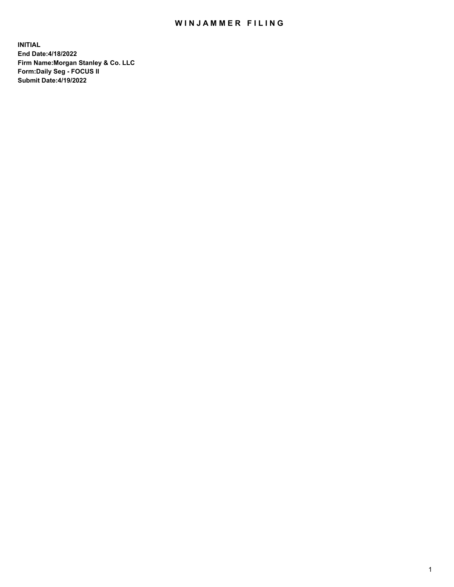## WIN JAMMER FILING

**INITIAL End Date:4/18/2022 Firm Name:Morgan Stanley & Co. LLC Form:Daily Seg - FOCUS II Submit Date:4/19/2022**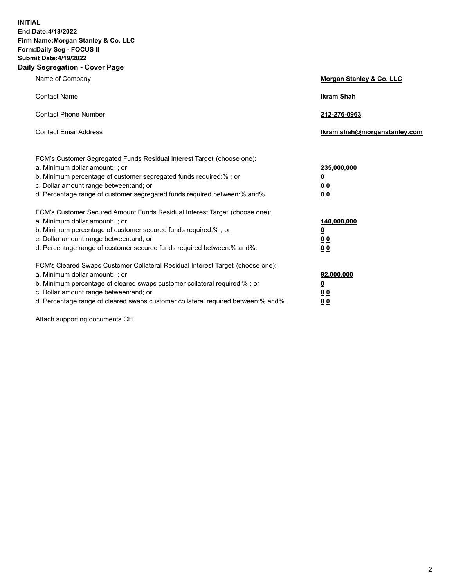**INITIAL End Date:4/18/2022 Firm Name:Morgan Stanley & Co. LLC Form:Daily Seg - FOCUS II Submit Date:4/19/2022 Daily Segregation - Cover Page**

| Name of Company                                                                                                                                                                                                                                                                                                                | Morgan Stanley & Co. LLC                               |
|--------------------------------------------------------------------------------------------------------------------------------------------------------------------------------------------------------------------------------------------------------------------------------------------------------------------------------|--------------------------------------------------------|
| <b>Contact Name</b>                                                                                                                                                                                                                                                                                                            | <b>Ikram Shah</b>                                      |
| <b>Contact Phone Number</b>                                                                                                                                                                                                                                                                                                    | 212-276-0963                                           |
| <b>Contact Email Address</b>                                                                                                                                                                                                                                                                                                   | Ikram.shah@morganstanley.com                           |
| FCM's Customer Segregated Funds Residual Interest Target (choose one):<br>a. Minimum dollar amount: ; or<br>b. Minimum percentage of customer segregated funds required:% ; or<br>c. Dollar amount range between: and; or<br>d. Percentage range of customer segregated funds required between:% and%.                         | 235,000,000<br><u>0</u><br>0 <sup>0</sup><br><u>00</u> |
| FCM's Customer Secured Amount Funds Residual Interest Target (choose one):<br>a. Minimum dollar amount: ; or<br>b. Minimum percentage of customer secured funds required:% ; or<br>c. Dollar amount range between: and; or<br>d. Percentage range of customer secured funds required between:% and%.                           | 140,000,000<br><u>0</u><br><u>00</u><br>00             |
| FCM's Cleared Swaps Customer Collateral Residual Interest Target (choose one):<br>a. Minimum dollar amount: ; or<br>b. Minimum percentage of cleared swaps customer collateral required:% ; or<br>c. Dollar amount range between: and; or<br>d. Percentage range of cleared swaps customer collateral required between:% and%. | 92,000,000<br><u>0</u><br><u>00</u><br>00              |

Attach supporting documents CH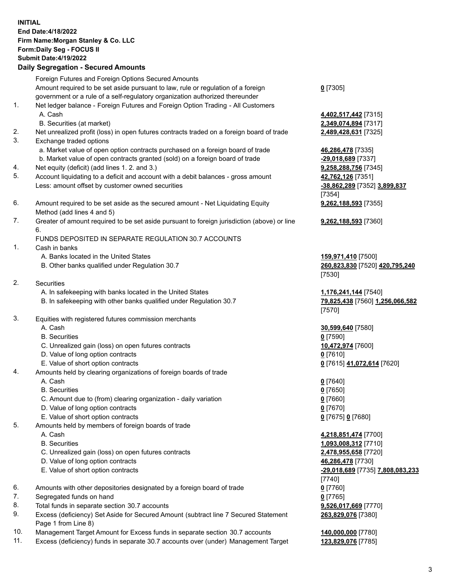## **INITIAL End Date:4/18/2022 Firm Name:Morgan Stanley & Co. LLC Form:Daily Seg - FOCUS II Submit Date:4/19/2022 Daily Segregation - Secured Amounts** Foreign Futures and Foreign Options Secured Amounts Amount required to be set aside pursuant to law, rule or regulation of a foreign government or a rule of a self-regulatory organization authorized thereunder **0** [7305] 1. Net ledger balance - Foreign Futures and Foreign Option Trading - All Customers A. Cash **4,402,517,442** [7315] B. Securities (at market) **2,349,074,894** [7317] 2. Net unrealized profit (loss) in open futures contracts traded on a foreign board of trade **2,489,428,631** [7325] 3. Exchange traded options a. Market value of open option contracts purchased on a foreign board of trade **46,286,478** [7335] b. Market value of open contracts granted (sold) on a foreign board of trade **-29,018,689** [7337] 4. Net equity (deficit) (add lines 1. 2. and 3.) **9,258,288,756** [7345] 5. Account liquidating to a deficit and account with a debit balances - gross amount **42,762,126** [7351] Less: amount offset by customer owned securities **-38,862,289** [7352] **3,899,837** [7354] 6. Amount required to be set aside as the secured amount - Net Liquidating Equity Method (add lines 4 and 5) **9,262,188,593** [7355] 7. Greater of amount required to be set aside pursuant to foreign jurisdiction (above) or line 6. **9,262,188,593** [7360] FUNDS DEPOSITED IN SEPARATE REGULATION 30.7 ACCOUNTS 1. Cash in banks A. Banks located in the United States **159,971,410** [7500] B. Other banks qualified under Regulation 30.7 **260,823,830** [7520] **420,795,240** [7530] 2. Securities A. In safekeeping with banks located in the United States **1,176,241,144** [7540] B. In safekeeping with other banks qualified under Regulation 30.7 **79,825,438** [7560] **1,256,066,582** [7570] 3. Equities with registered futures commission merchants A. Cash **30,599,640** [7580] B. Securities **0** [7590] C. Unrealized gain (loss) on open futures contracts **10,472,974** [7600] D. Value of long option contracts **0** [7610] E. Value of short option contracts **0** [7615] **41,072,614** [7620] 4. Amounts held by clearing organizations of foreign boards of trade A. Cash **0** [7640] B. Securities **0** [7650] C. Amount due to (from) clearing organization - daily variation **0** [7660] D. Value of long option contracts **0** [7670] E. Value of short option contracts **0** [7675] **0** [7680] 5. Amounts held by members of foreign boards of trade A. Cash **4,218,851,474** [7700] B. Securities **1,093,008,312** [7710] C. Unrealized gain (loss) on open futures contracts **2,478,955,658** [7720] D. Value of long option contracts **46,286,478** [7730] E. Value of short option contracts **-29,018,689** [7735] **7,808,083,233** [7740]

- 6. Amounts with other depositories designated by a foreign board of trade **0** [7760]
- 7. Segregated funds on hand **0** [7765]
- 8. Total funds in separate section 30.7 accounts **9,526,017,669** [7770]
- 9. Excess (deficiency) Set Aside for Secured Amount (subtract line 7 Secured Statement Page 1 from Line 8)
- 10. Management Target Amount for Excess funds in separate section 30.7 accounts **140,000,000** [7780]
- 11. Excess (deficiency) funds in separate 30.7 accounts over (under) Management Target **123,829,076** [7785]

3

**263,829,076** [7380]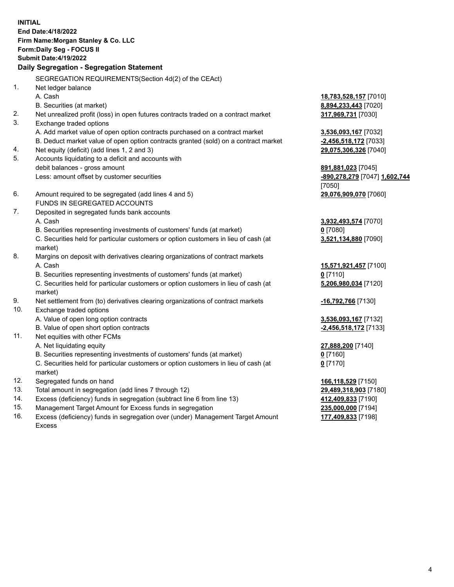**INITIAL End Date:4/18/2022 Firm Name:Morgan Stanley & Co. LLC Form:Daily Seg - FOCUS II Submit Date:4/19/2022 Daily Segregation - Segregation Statement** SEGREGATION REQUIREMENTS(Section 4d(2) of the CEAct) 1. Net ledger balance A. Cash **18,783,528,157** [7010] B. Securities (at market) **8,894,233,443** [7020] 2. Net unrealized profit (loss) in open futures contracts traded on a contract market **317,969,731** [7030] 3. Exchange traded options A. Add market value of open option contracts purchased on a contract market **3,536,093,167** [7032] B. Deduct market value of open option contracts granted (sold) on a contract market **-2,456,518,172** [7033] 4. Net equity (deficit) (add lines 1, 2 and 3) **29,075,306,326** [7040] 5. Accounts liquidating to a deficit and accounts with debit balances - gross amount **891,881,023** [7045] Less: amount offset by customer securities **-890,278,279** [7047] **1,602,744** [7050] 6. Amount required to be segregated (add lines 4 and 5) **29,076,909,070** [7060] FUNDS IN SEGREGATED ACCOUNTS 7. Deposited in segregated funds bank accounts A. Cash **3,932,493,574** [7070] B. Securities representing investments of customers' funds (at market) **0** [7080] C. Securities held for particular customers or option customers in lieu of cash (at market) **3,521,134,880** [7090] 8. Margins on deposit with derivatives clearing organizations of contract markets A. Cash **15,571,921,457** [7100] B. Securities representing investments of customers' funds (at market) **0** [7110] C. Securities held for particular customers or option customers in lieu of cash (at market) **5,206,980,034** [7120] 9. Net settlement from (to) derivatives clearing organizations of contract markets **-16,792,766** [7130] 10. Exchange traded options A. Value of open long option contracts **3,536,093,167** [7132] B. Value of open short option contracts **-2,456,518,172** [7133] 11. Net equities with other FCMs A. Net liquidating equity **27,888,200** [7140] B. Securities representing investments of customers' funds (at market) **0** [7160] C. Securities held for particular customers or option customers in lieu of cash (at market) **0** [7170] 12. Segregated funds on hand **166,118,529** [7150] 13. Total amount in segregation (add lines 7 through 12) **29,489,318,903** [7180] 14. Excess (deficiency) funds in segregation (subtract line 6 from line 13) **412,409,833** [7190] 15. Management Target Amount for Excess funds in segregation **235,000,000** [7194]

16. Excess (deficiency) funds in segregation over (under) Management Target Amount Excess

**177,409,833** [7198]